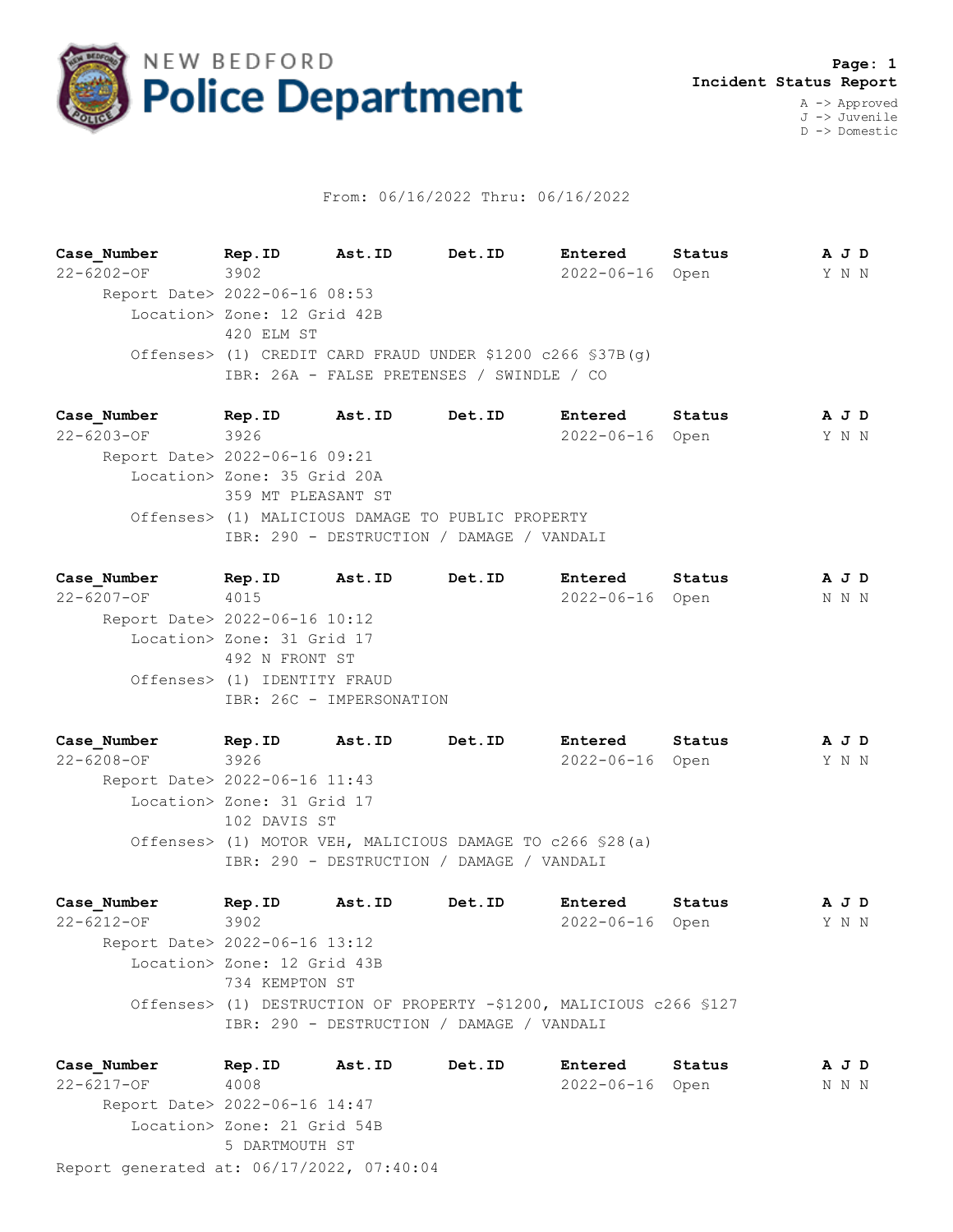

## From: 06/16/2022 Thru: 06/16/2022

**Case\_Number Rep.ID Ast.ID Det.ID Entered Status A J D** 22-6202-OF 3902 2022-06-16 Open Y N N Report Date> 2022-06-16 08:53 Location> Zone: 12 Grid 42B 420 ELM ST Offenses> (1) CREDIT CARD FRAUD UNDER \$1200 c266 §37B(g) IBR: 26A - FALSE PRETENSES / SWINDLE / CO

**Case\_Number Rep.ID Ast.ID Det.ID Entered Status A J D** 22-6203-OF 3926 2022-06-16 Open Y N N Report Date> 2022-06-16 09:21 Location> Zone: 35 Grid 20A 359 MT PLEASANT ST Offenses> (1) MALICIOUS DAMAGE TO PUBLIC PROPERTY IBR: 290 - DESTRUCTION / DAMAGE / VANDALI

**Case\_Number Rep.ID Ast.ID Det.ID Entered Status A J D** 22-6207-OF 4015 2022-06-16 Open N N N Report Date> 2022-06-16 10:12 Location> Zone: 31 Grid 17 492 N FRONT ST Offenses> (1) IDENTITY FRAUD IBR: 26C - IMPERSONATION

**Case\_Number Rep.ID Ast.ID Det.ID Entered Status A J D** 22-6208-OF 3926 2022-06-16 Open Y N N Report Date> 2022-06-16 11:43 Location> Zone: 31 Grid 17 102 DAVIS ST Offenses> (1) MOTOR VEH, MALICIOUS DAMAGE TO c266 §28(a) IBR: 290 - DESTRUCTION / DAMAGE / VANDALI

**Case\_Number Rep.ID Ast.ID Det.ID Entered Status A J D** 22-6212-OF 3902 2022-06-16 Open Y N N Report Date> 2022-06-16 13:12 Location> Zone: 12 Grid 43B 734 KEMPTON ST Offenses> (1) DESTRUCTION OF PROPERTY -\$1200, MALICIOUS c266 §127 IBR: 290 - DESTRUCTION / DAMAGE / VANDALI

Report generated at: 06/17/2022, 07:40:04 **Case\_Number Rep.ID Ast.ID Det.ID Entered Status A J D** 22-6217-OF 4008 2022-06-16 Open N N N Report Date> 2022-06-16 14:47 Location> Zone: 21 Grid 54B 5 DARTMOUTH ST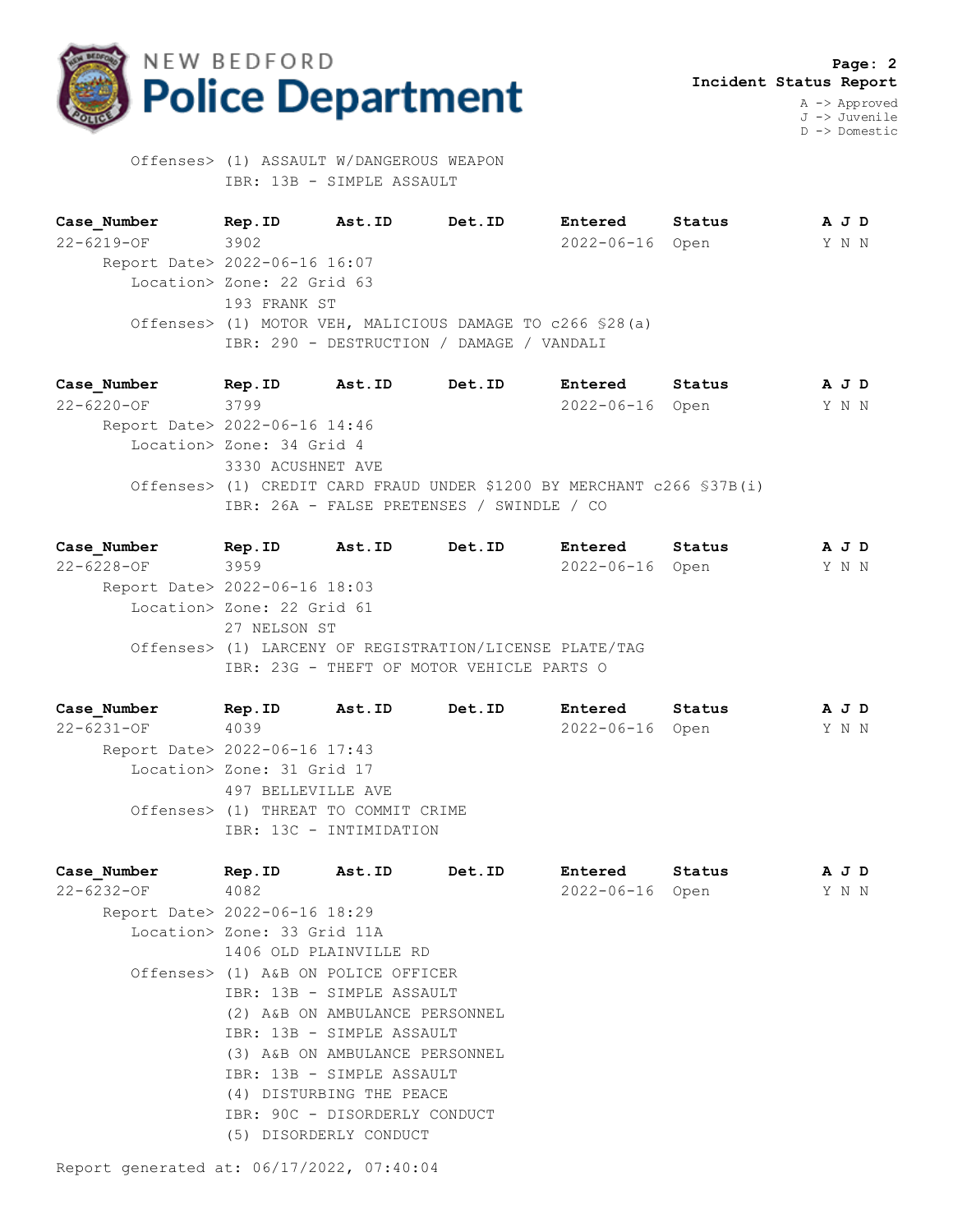

 Offenses> (1) ASSAULT W/DANGEROUS WEAPON IBR: 13B - SIMPLE ASSAULT

**Case\_Number Rep.ID Ast.ID Det.ID Entered Status A J D** 22-6219-OF 3902 2022-06-16 Open Y N N Report Date> 2022-06-16 16:07 Location> Zone: 22 Grid 63 193 FRANK ST Offenses> (1) MOTOR VEH, MALICIOUS DAMAGE TO c266 §28(a) IBR: 290 - DESTRUCTION / DAMAGE / VANDALI

**Case\_Number Rep.ID Ast.ID Det.ID Entered Status A J D** 22-6220-OF 3799 2022-06-16 Open Y N N Report Date> 2022-06-16 14:46 Location> Zone: 34 Grid 4 3330 ACUSHNET AVE Offenses> (1) CREDIT CARD FRAUD UNDER \$1200 BY MERCHANT c266 §37B(i) IBR: 26A - FALSE PRETENSES / SWINDLE / CO

**Case\_Number Rep.ID Ast.ID Det.ID Entered Status A J D** 22-6228-OF 3959 2022-06-16 Open Y N N Report Date> 2022-06-16 18:03 Location> Zone: 22 Grid 61 27 NELSON ST Offenses> (1) LARCENY OF REGISTRATION/LICENSE PLATE/TAG IBR: 23G - THEFT OF MOTOR VEHICLE PARTS O

**Case\_Number Rep.ID Ast.ID Det.ID Entered Status A J D** 22-6231-OF 4039 2022-06-16 Open Y N N Report Date> 2022-06-16 17:43 Location> Zone: 31 Grid 17 497 BELLEVILLE AVE Offenses> (1) THREAT TO COMMIT CRIME IBR: 13C - INTIMIDATION

**Case\_Number Rep.ID Ast.ID Det.ID Entered Status A J D** 22-6232-OF 4082 2022-06-16 Open Y N N Report Date> 2022-06-16 18:29 Location> Zone: 33 Grid 11A 1406 OLD PLAINVILLE RD Offenses> (1) A&B ON POLICE OFFICER IBR: 13B - SIMPLE ASSAULT (2) A&B ON AMBULANCE PERSONNEL IBR: 13B - SIMPLE ASSAULT (3) A&B ON AMBULANCE PERSONNEL IBR: 13B - SIMPLE ASSAULT (4) DISTURBING THE PEACE IBR: 90C - DISORDERLY CONDUCT (5) DISORDERLY CONDUCT